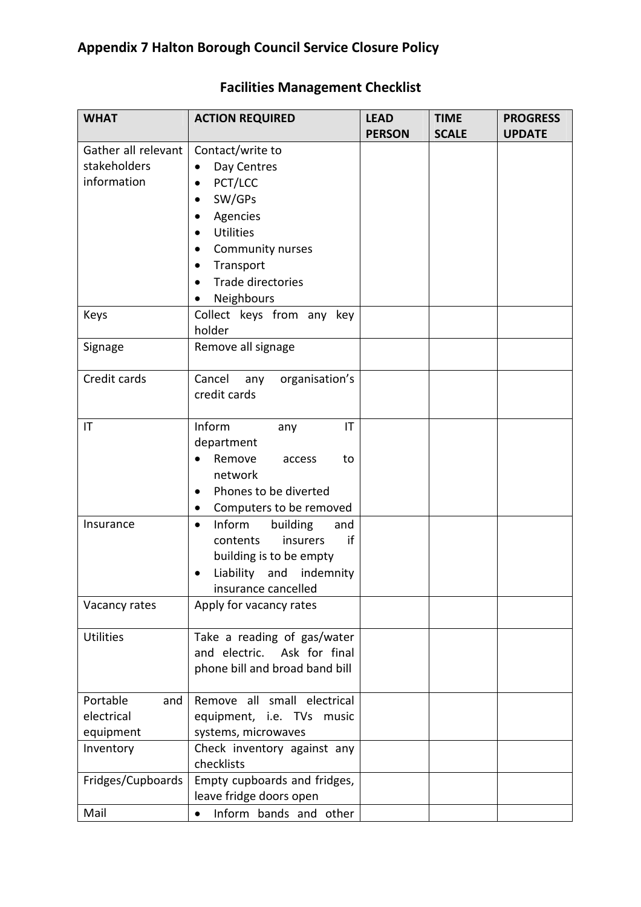| <b>WHAT</b>            | <b>ACTION REQUIRED</b>                 | <b>LEAD</b><br><b>PERSON</b> | <b>TIME</b><br><b>SCALE</b> | <b>PROGRESS</b><br><b>UPDATE</b> |
|------------------------|----------------------------------------|------------------------------|-----------------------------|----------------------------------|
| Gather all relevant    | Contact/write to                       |                              |                             |                                  |
| stakeholders           | Day Centres<br>$\bullet$               |                              |                             |                                  |
| information            | PCT/LCC<br>٠                           |                              |                             |                                  |
|                        | SW/GPs<br>٠                            |                              |                             |                                  |
|                        |                                        |                              |                             |                                  |
|                        | Agencies<br>٠                          |                              |                             |                                  |
|                        | <b>Utilities</b><br>$\bullet$          |                              |                             |                                  |
|                        | Community nurses                       |                              |                             |                                  |
|                        | Transport<br>$\bullet$                 |                              |                             |                                  |
|                        | Trade directories                      |                              |                             |                                  |
|                        | Neighbours                             |                              |                             |                                  |
| Keys                   | Collect keys from any key              |                              |                             |                                  |
|                        | holder                                 |                              |                             |                                  |
| Signage                | Remove all signage                     |                              |                             |                                  |
| Credit cards           | Cancel<br>organisation's<br>any        |                              |                             |                                  |
|                        | credit cards                           |                              |                             |                                  |
|                        |                                        |                              |                             |                                  |
| $\mathsf{I}\mathsf{T}$ | Inform<br>IT<br>any                    |                              |                             |                                  |
|                        | department                             |                              |                             |                                  |
|                        | Remove<br>to<br>access                 |                              |                             |                                  |
|                        | network                                |                              |                             |                                  |
|                        | Phones to be diverted<br>٠             |                              |                             |                                  |
|                        | Computers to be removed<br>$\bullet$   |                              |                             |                                  |
| Insurance              | Inform<br>building<br>and<br>$\bullet$ |                              |                             |                                  |
|                        | if<br>insurers<br>contents             |                              |                             |                                  |
|                        | building is to be empty                |                              |                             |                                  |
|                        | Liability and indemnity                |                              |                             |                                  |
|                        | insurance cancelled                    |                              |                             |                                  |
| Vacancy rates          | Apply for vacancy rates                |                              |                             |                                  |
|                        |                                        |                              |                             |                                  |
| <b>Utilities</b>       | Take a reading of gas/water            |                              |                             |                                  |
|                        | and electric. Ask for final            |                              |                             |                                  |
|                        | phone bill and broad band bill         |                              |                             |                                  |
|                        |                                        |                              |                             |                                  |
| Portable<br>and        | Remove all small electrical            |                              |                             |                                  |
| electrical             | equipment, i.e. TVs music              |                              |                             |                                  |
| equipment              | systems, microwaves                    |                              |                             |                                  |
| Inventory              | Check inventory against any            |                              |                             |                                  |
|                        | checklists                             |                              |                             |                                  |
| Fridges/Cupboards      | Empty cupboards and fridges,           |                              |                             |                                  |
|                        | leave fridge doors open                |                              |                             |                                  |
| Mail                   | Inform bands and other<br>$\bullet$    |                              |                             |                                  |

## Facilities Management Checklist